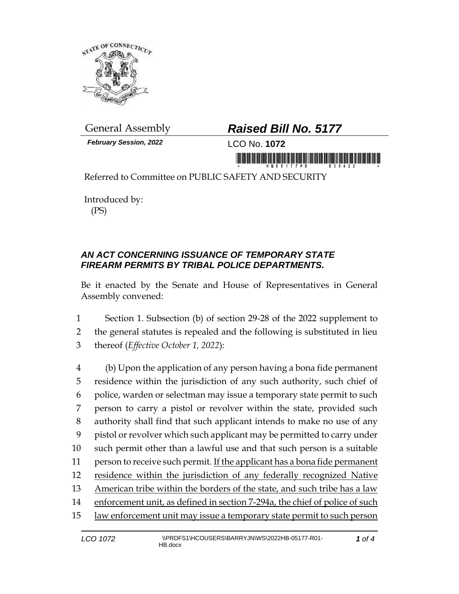

*February Session, 2022* LCO No. **1072**

## General Assembly *Raised Bill No. 5177*

Referred to Committee on PUBLIC SAFETY AND SECURITY

Introduced by: (PS)

## *AN ACT CONCERNING ISSUANCE OF TEMPORARY STATE FIREARM PERMITS BY TRIBAL POLICE DEPARTMENTS.*

Be it enacted by the Senate and House of Representatives in General Assembly convened:

1 Section 1. Subsection (b) of section 29-28 of the 2022 supplement to 2 the general statutes is repealed and the following is substituted in lieu 3 thereof (*Effective October 1, 2022*):

 (b) Upon the application of any person having a bona fide permanent residence within the jurisdiction of any such authority, such chief of police, warden or selectman may issue a temporary state permit to such person to carry a pistol or revolver within the state, provided such authority shall find that such applicant intends to make no use of any pistol or revolver which such applicant may be permitted to carry under such permit other than a lawful use and that such person is a suitable person to receive such permit. If the applicant has a bona fide permanent residence within the jurisdiction of any federally recognized Native American tribe within the borders of the state, and such tribe has a law enforcement unit, as defined in section 7-294a, the chief of police of such law enforcement unit may issue a temporary state permit to such person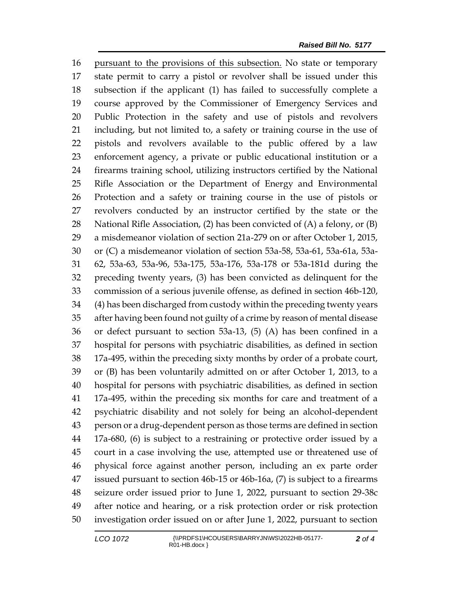pursuant to the provisions of this subsection. No state or temporary state permit to carry a pistol or revolver shall be issued under this subsection if the applicant (1) has failed to successfully complete a course approved by the Commissioner of Emergency Services and Public Protection in the safety and use of pistols and revolvers including, but not limited to, a safety or training course in the use of pistols and revolvers available to the public offered by a law enforcement agency, a private or public educational institution or a firearms training school, utilizing instructors certified by the National Rifle Association or the Department of Energy and Environmental Protection and a safety or training course in the use of pistols or revolvers conducted by an instructor certified by the state or the National Rifle Association, (2) has been convicted of (A) a felony, or (B) a misdemeanor violation of section 21a-279 on or after October 1, 2015, or (C) a misdemeanor violation of section 53a-58, 53a-61, 53a-61a, 53a- 62, 53a-63, 53a-96, 53a-175, 53a-176, 53a-178 or 53a-181d during the preceding twenty years, (3) has been convicted as delinquent for the commission of a serious juvenile offense, as defined in section 46b-120, (4) has been discharged from custody within the preceding twenty years after having been found not guilty of a crime by reason of mental disease or defect pursuant to section 53a-13, (5) (A) has been confined in a hospital for persons with psychiatric disabilities, as defined in section 17a-495, within the preceding sixty months by order of a probate court, or (B) has been voluntarily admitted on or after October 1, 2013, to a hospital for persons with psychiatric disabilities, as defined in section 17a-495, within the preceding six months for care and treatment of a psychiatric disability and not solely for being an alcohol-dependent person or a drug-dependent person as those terms are defined in section 17a-680, (6) is subject to a restraining or protective order issued by a court in a case involving the use, attempted use or threatened use of physical force against another person, including an ex parte order issued pursuant to section 46b-15 or 46b-16a, (7) is subject to a firearms seizure order issued prior to June 1, 2022, pursuant to section 29-38c after notice and hearing, or a risk protection order or risk protection investigation order issued on or after June 1, 2022, pursuant to section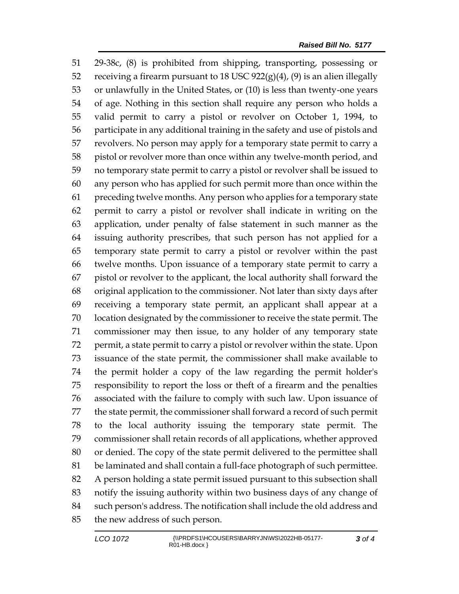29-38c, (8) is prohibited from shipping, transporting, possessing or 52 receiving a firearm pursuant to 18 USC  $922(g)(4)$ ,  $(9)$  is an alien illegally or unlawfully in the United States, or (10) is less than twenty-one years of age. Nothing in this section shall require any person who holds a valid permit to carry a pistol or revolver on October 1, 1994, to participate in any additional training in the safety and use of pistols and revolvers. No person may apply for a temporary state permit to carry a pistol or revolver more than once within any twelve-month period, and no temporary state permit to carry a pistol or revolver shall be issued to any person who has applied for such permit more than once within the preceding twelve months. Any person who applies for a temporary state permit to carry a pistol or revolver shall indicate in writing on the application, under penalty of false statement in such manner as the issuing authority prescribes, that such person has not applied for a temporary state permit to carry a pistol or revolver within the past twelve months. Upon issuance of a temporary state permit to carry a pistol or revolver to the applicant, the local authority shall forward the original application to the commissioner. Not later than sixty days after receiving a temporary state permit, an applicant shall appear at a location designated by the commissioner to receive the state permit. The commissioner may then issue, to any holder of any temporary state permit, a state permit to carry a pistol or revolver within the state. Upon issuance of the state permit, the commissioner shall make available to the permit holder a copy of the law regarding the permit holder's responsibility to report the loss or theft of a firearm and the penalties associated with the failure to comply with such law. Upon issuance of the state permit, the commissioner shall forward a record of such permit to the local authority issuing the temporary state permit. The commissioner shall retain records of all applications, whether approved or denied. The copy of the state permit delivered to the permittee shall be laminated and shall contain a full-face photograph of such permittee. A person holding a state permit issued pursuant to this subsection shall notify the issuing authority within two business days of any change of such person's address. The notification shall include the old address and the new address of such person.